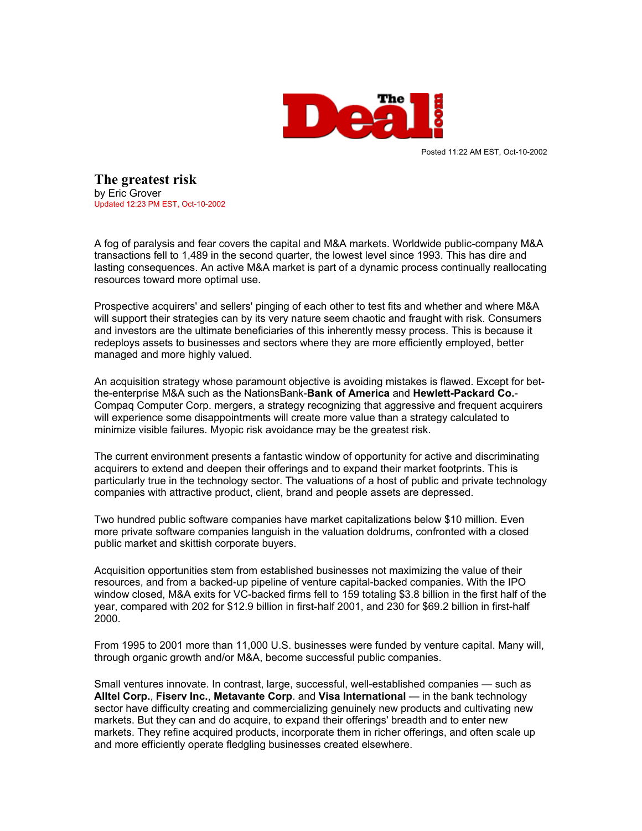

Posted 11:22 AM EST, Oct-10-2002

**The greatest risk** [by Eric Grover](mailto:reporters@thedeal.com) Updated 12:23 PM EST, Oct-10-2002

A fog of paralysis and fear covers the capital and M&A markets. Worldwide public-company M&A transactions fell to 1,489 in the second quarter, the lowest level since 1993. This has dire and lasting consequences. An active M&A market is part of a dynamic process continually reallocating resources toward more optimal use.

Prospective acquirers' and sellers' pinging of each other to test fits and whether and where M&A will support their strategies can by its very nature seem chaotic and fraught with risk. Consumers and investors are the ultimate beneficiaries of this inherently messy process. This is because it redeploys assets to businesses and sectors where they are more efficiently employed, better managed and more highly valued.

An acquisition strategy whose paramount objective is avoiding mistakes is flawed. Except for betthe-enterprise M&A such as the NationsBank-**Bank of America** and **Hewlett-Packard Co.**- Compaq Computer Corp. mergers, a strategy recognizing that aggressive and frequent acquirers will experience some disappointments will create more value than a strategy calculated to minimize visible failures. Myopic risk avoidance may be the greatest risk.

The current environment presents a fantastic window of opportunity for active and discriminating acquirers to extend and deepen their offerings and to expand their market footprints. This is particularly true in the technology sector. The valuations of a host of public and private technology companies with attractive product, client, brand and people assets are depressed.

Two hundred public software companies have market capitalizations below \$10 million. Even more private software companies languish in the valuation doldrums, confronted with a closed public market and skittish corporate buyers.

Acquisition opportunities stem from established businesses not maximizing the value of their resources, and from a backed-up pipeline of venture capital-backed companies. With the IPO window closed, M&A exits for VC-backed firms fell to 159 totaling \$3.8 billion in the first half of the year, compared with 202 for \$12.9 billion in first-half 2001, and 230 for \$69.2 billion in first-half 2000.

From 1995 to 2001 more than 11,000 U.S. businesses were funded by venture capital. Many will, through organic growth and/or M&A, become successful public companies.

Small ventures innovate. In contrast, large, successful, well-established companies — such as **Alltel Corp.**, **Fiserv Inc.**, **Metavante Corp**. and **Visa International** — in the bank technology sector have difficulty creating and commercializing genuinely new products and cultivating new markets. But they can and do acquire, to expand their offerings' breadth and to enter new markets. They refine acquired products, incorporate them in richer offerings, and often scale up and more efficiently operate fledgling businesses created elsewhere.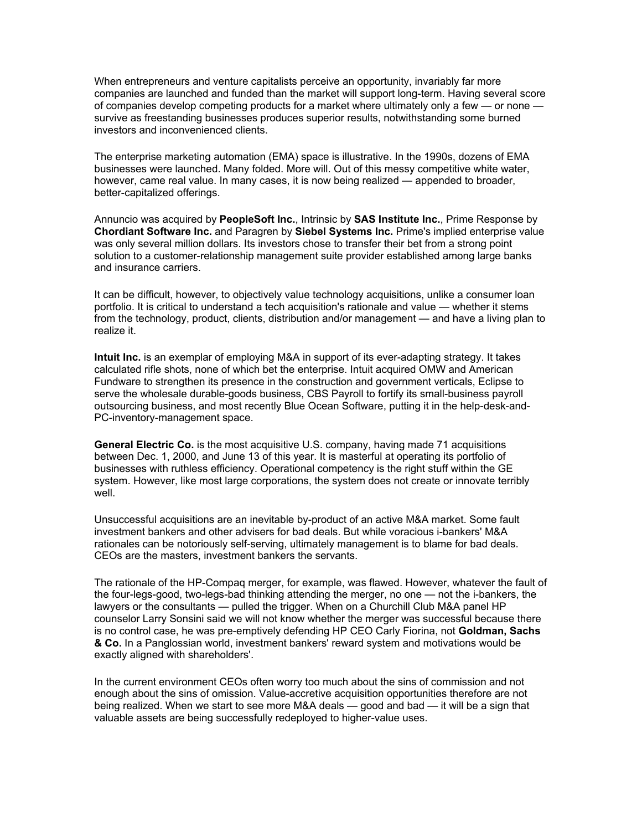When entrepreneurs and venture capitalists perceive an opportunity, invariably far more companies are launched and funded than the market will support long-term. Having several score of companies develop competing products for a market where ultimately only a few — or none survive as freestanding businesses produces superior results, notwithstanding some burned investors and inconvenienced clients.

The enterprise marketing automation (EMA) space is illustrative. In the 1990s, dozens of EMA businesses were launched. Many folded. More will. Out of this messy competitive white water, however, came real value. In many cases, it is now being realized — appended to broader, better-capitalized offerings.

Annuncio was acquired by **PeopleSoft Inc.**, Intrinsic by **SAS Institute Inc.**, Prime Response by **Chordiant Software Inc.** and Paragren by **Siebel Systems Inc.** Prime's implied enterprise value was only several million dollars. Its investors chose to transfer their bet from a strong point solution to a customer-relationship management suite provider established among large banks and insurance carriers.

It can be difficult, however, to objectively value technology acquisitions, unlike a consumer loan portfolio. It is critical to understand a tech acquisition's rationale and value — whether it stems from the technology, product, clients, distribution and/or management — and have a living plan to realize it.

**Intuit Inc.** is an exemplar of employing M&A in support of its ever-adapting strategy. It takes calculated rifle shots, none of which bet the enterprise. Intuit acquired OMW and American Fundware to strengthen its presence in the construction and government verticals, Eclipse to serve the wholesale durable-goods business, CBS Payroll to fortify its small-business payroll outsourcing business, and most recently Blue Ocean Software, putting it in the help-desk-and-PC-inventory-management space.

**General Electric Co.** is the most acquisitive U.S. company, having made 71 acquisitions between Dec. 1, 2000, and June 13 of this year. It is masterful at operating its portfolio of businesses with ruthless efficiency. Operational competency is the right stuff within the GE system. However, like most large corporations, the system does not create or innovate terribly well.

Unsuccessful acquisitions are an inevitable by-product of an active M&A market. Some fault investment bankers and other advisers for bad deals. But while voracious i-bankers' M&A rationales can be notoriously self-serving, ultimately management is to blame for bad deals. CEOs are the masters, investment bankers the servants.

The rationale of the HP-Compaq merger, for example, was flawed. However, whatever the fault of the four-legs-good, two-legs-bad thinking attending the merger, no one — not the i-bankers, the lawyers or the consultants — pulled the trigger. When on a Churchill Club M&A panel HP counselor Larry Sonsini said we will not know whether the merger was successful because there is no control case, he was pre-emptively defending HP CEO Carly Fiorina, not **Goldman, Sachs & Co.** In a Panglossian world, investment bankers' reward system and motivations would be exactly aligned with shareholders'.

In the current environment CEOs often worry too much about the sins of commission and not enough about the sins of omission. Value-accretive acquisition opportunities therefore are not being realized. When we start to see more M&A deals — good and bad — it will be a sign that valuable assets are being successfully redeployed to higher-value uses.